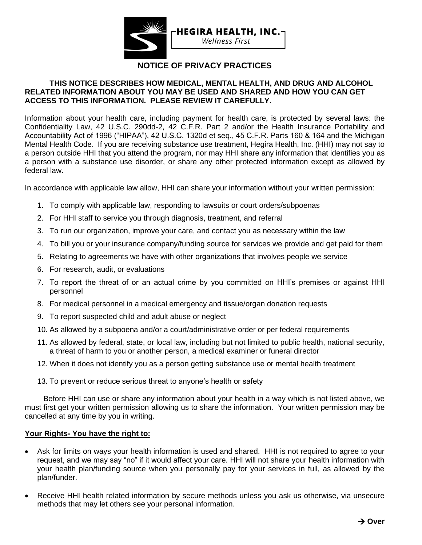

# **NOTICE OF PRIVACY PRACTICES**

## **THIS NOTICE DESCRIBES HOW MEDICAL, MENTAL HEALTH, AND DRUG AND ALCOHOL RELATED INFORMATION ABOUT YOU MAY BE USED AND SHARED AND HOW YOU CAN GET ACCESS TO THIS INFORMATION. PLEASE REVIEW IT CAREFULLY.**

Information about your health care, including payment for health care, is protected by several laws: the Confidentiality Law, 42 U.S.C. 290dd-2, 42 C.F.R. Part 2 and/or the Health Insurance Portability and Accountability Act of 1996 ("HIPAA"), 42 U.S.C. 1320d et seq., 45 C.F.R. Parts 160 & 164 and the Michigan Mental Health Code. If you are receiving substance use treatment, Hegira Health, Inc. (HHI) may not say to a person outside HHI that you attend the program, nor may HHI share any information that identifies you as a person with a substance use disorder, or share any other protected information except as allowed by federal law.

In accordance with applicable law allow, HHI can share your information without your written permission:

- 1. To comply with applicable law, responding to lawsuits or court orders/subpoenas
- 2. For HHI staff to service you through diagnosis, treatment, and referral
- 3. To run our organization, improve your care, and contact you as necessary within the law
- 4. To bill you or your insurance company/funding source for services we provide and get paid for them
- 5. Relating to agreements we have with other organizations that involves people we service
- 6. For research, audit, or evaluations
- 7. To report the threat of or an actual crime by you committed on HHI's premises or against HHI personnel
- 8. For medical personnel in a medical emergency and tissue/organ donation requests
- 9. To report suspected child and adult abuse or neglect
- 10. As allowed by a subpoena and/or a court/administrative order or per federal requirements
- 11. As allowed by federal, state, or local law, including but not limited to public health, national security, a threat of harm to you or another person, a medical examiner or funeral director
- 12. When it does not identify you as a person getting substance use or mental health treatment
- 13. To prevent or reduce serious threat to anyone's health or safety

Before HHI can use or share any information about your health in a way which is not listed above, we must first get your written permission allowing us to share the information. Your written permission may be cancelled at any time by you in writing.

#### **Your Rights- You have the right to:**

- Ask for limits on ways your health information is used and shared. HHI is not required to agree to your request, and we may say "no" if it would affect your care. HHI will not share your health information with your health plan/funding source when you personally pay for your services in full, as allowed by the plan/funder.
- Receive HHI health related information by secure methods unless you ask us otherwise, via unsecure methods that may let others see your personal information.